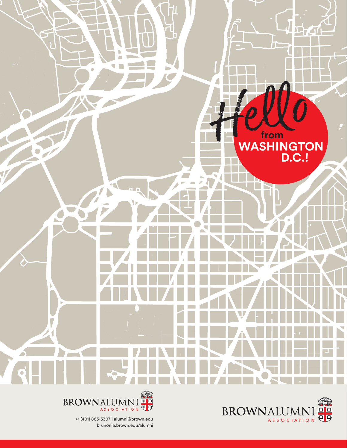





brunonia.brown.edu/alumni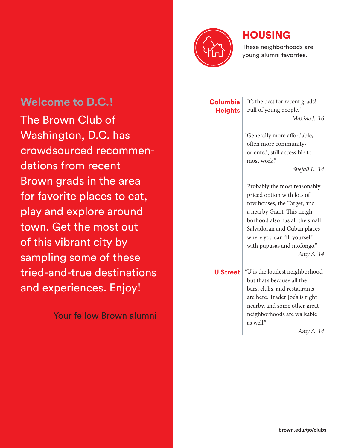

## HOUSING

These neighborhoods are young alumni favorites.

### **Columbia Heights**

"It's the best for recent grads! Full of young people." *Maxine J. '16*

"Generally more affordable, often more communityoriented, still accessible to most work."

*Shefali L. '14*

"Probably the most reasonably priced option with lots of row houses, the Target, and a nearby Giant. This neighborhood also has all the small Salvadoran and Cuban places where you can fill yourself with pupusas and mofongo." *Amy S. '14*

**U Street** "U is the loudest neighborhood" but that's because all the bars, clubs, and restaurants are here. Trader Joe's is right nearby, and some other great neighborhoods are walkable as well"

*Amy S. '14*

**Welcome to D.C.!** The Brown Club of Washington, D.C. has crowdsourced recommendations from recent Brown grads in the area for favorite places to eat, play and explore around town. Get the most out of this vibrant city by sampling some of these tried-and-true destinations and experiences. Enjoy!

Your fellow Brown alumni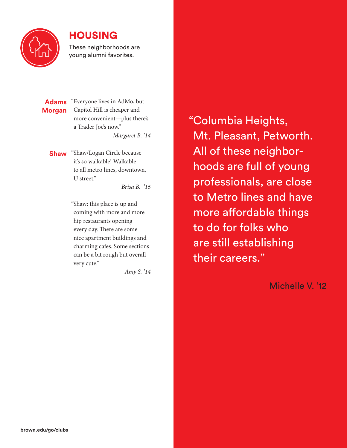

### HOUSING

These neighborhoods are young alumni favorites.

**Adams Morgan** "Everyone lives in AdMo, but Capitol Hill is cheaper and more convenient—plus there's a Trader Joe's now." *Margaret B. '14*

**Shaw** Shaw/Logan Circle because it's so walkable! Walkable to all metro lines, downtown, U street"

*Brisa B. '15*

"Shaw: this place is up and coming with more and more hip restaurants opening every day. There are some nice apartment buildings and charming cafes. Some sections can be a bit rough but overall very cute."

*Amy S. '14*

"Columbia Heights, Mt. Pleasant, Petworth. All of these neighborhoods are full of young professionals, are close to Metro lines and have more affordable things to do for folks who are still establishing their careers."

Michelle V. '12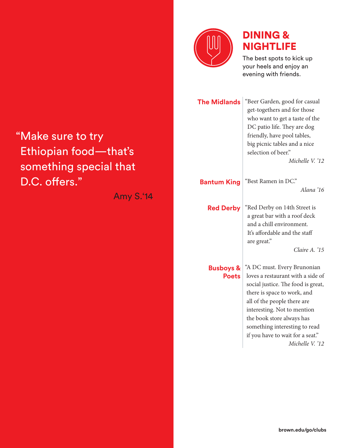

# DINING & NIGHTLIFE

The best spots to kick up your heels and enjoy an evening with friends.

| <b>The Midlands</b>                  | "Beer Garden, good for casual<br>get-togethers and for those<br>who want to get a taste of the<br>DC patio life. They are dog<br>friendly, have pool tables,<br>big picnic tables and a nice<br>selection of beer."<br>Michelle V. '12                                                                                   |
|--------------------------------------|--------------------------------------------------------------------------------------------------------------------------------------------------------------------------------------------------------------------------------------------------------------------------------------------------------------------------|
| <b>Bantum King</b>                   | "Best Ramen in DC."<br>Alana '16                                                                                                                                                                                                                                                                                         |
| <b>Red Derby</b>                     | "Red Derby on 14th Street is<br>a great bar with a roof deck<br>and a chill environment.<br>It's affordable and the staff<br>are great."<br>Claire A. '15                                                                                                                                                                |
| <b>Busboys &amp;</b><br><b>Poets</b> | "A DC must. Every Brunonian<br>loves a restaurant with a side of<br>social justice. The food is great,<br>there is space to work, and<br>all of the people there are<br>interesting. Not to mention<br>the book store always has<br>something interesting to read<br>if you have to wait for a seat."<br>Michelle V. '12 |

# "Make sure to try Ethiopian food—that's something special that D.C. offers."

Amy S.'14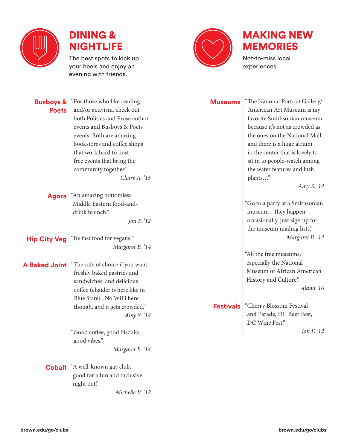

**Busboys & Poets**

## DINING & **NIGHTLIFE**

The best spots to kick up your heels and enjoy an evening with friends.

"For those who like reading and/or activism, check out both Politics and Prose author



# MAKING NEW MEMORIES

Not-to-miss local experiences.

**Museums** "The National Portrait Gallery/ American Art Museum is my favorite Smithsonian museum se it's not as crowded as the National Mall, nere is a huge atrium center that is lovely to to people-watch among ater features and lush  $\sum_{i=1}^{\infty}$ 

*Amy S. '14*

a party at a Smithsonian am—they happen onally, just sign up for useum mailing lists." *Margaret B. '14*

e free museums, ally the National um of African American y and Culture." *Alana '16*

**v** Blossom Festival arade, DC Beer Fest,  $\n *Time* Fest.$ 

*Jon F. '12*

|                      | events and Busboys & Poets<br>events. Both are amazing<br>bookstores and coffee shops<br>that work hard to host<br>free events that bring the<br>community together."<br>Claire A. '15 | becau<br>the on<br>and th<br>in the<br>sit in t<br>the wa<br>plants |
|----------------------|----------------------------------------------------------------------------------------------------------------------------------------------------------------------------------------|---------------------------------------------------------------------|
| <b>Agora</b>         | "An amazing bottomless<br>Middle Eastern food-and-<br>drink brunch."<br>Jon F. '12                                                                                                     | "Go to<br>muset<br>occasi<br>the m                                  |
| <b>Hip City Veg</b>  | "It's fast food for vegans!"<br>Margaret B. '14                                                                                                                                        | "All the                                                            |
| <b>A Baked Joint</b> | "The cafe of choice if you want<br>freshly baked pastries and<br>sandwiches, and delicious<br>coffee (chaider is here like in<br>Blue State)No WiFi here                               | especia<br>Museu<br>Histor                                          |
|                      | <b>Festivals</b><br>though, and it gets crowded."<br>Amy S. '14                                                                                                                        | "Cherr<br>and Pa<br>DC W                                            |
|                      | "Good coffee, good biscuits,<br>good vibes."<br>Margaret B. '14                                                                                                                        |                                                                     |
| <b>Cobalt</b>        | "A well-known gay club,<br>good for a fun and inclusive<br>night out."<br>Michelle V $'12$                                                                                             |                                                                     |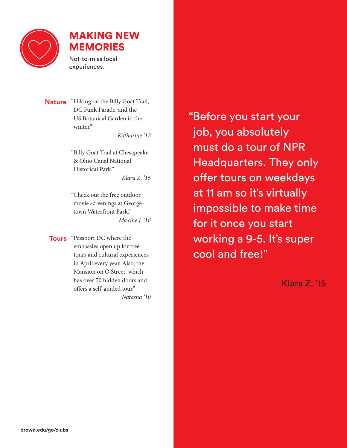

# MAKING NEW **MEMORIES**

Not-to-miss local experiences.

**Nature** "Hiking on the Billy Goat Trail, DC Funk Parade, and the US Botanical Garden in the winter."

*Katharine '12*

"Billy Goat Trail at Chesapeake & Ohio Canal National Historical Park."

*Klara Z. '15*

"Check out the free outdoor movie screenings at Georgetown Waterfront Park." *Maxine J. '16* 

**Tours** <sup>"</sup>Passport DC where the embassies open up for free tours and cultural experiences in April every year. Also, the Mansion on O Street, which has over 70 hidden doors and offers a self-guided tour." *Natasha '10* "Before you start your job, you absolutely must do a tour of NPR Headquarters. They only offer tours on weekdays at 11 am so it's virtually impossible to make time for it once you start working a 9-5. It's super cool and free!"

Klara Z. '15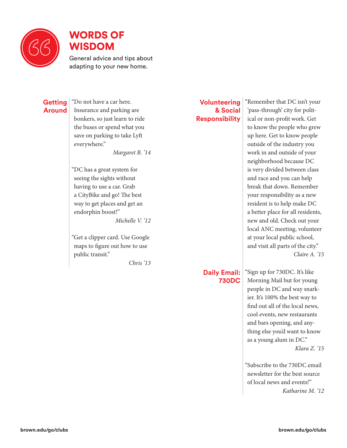

WORDS OF WISDOM

General advice and tips about adapting to your new home.

#### **Getting Around**

"Do not have a car here. Insurance and parking are bonkers, so just learn to ride the buses or spend what you save on parking to take Lyft everywhere."

*Margaret B. '14*

"DC has a great system for seeing the sights without having to use a car. Grab a CityBike and go! The best way to get places and get an endorphin boost!" *Michelle V. '12*

"Get a clipper card. Use Google maps to figure out how to use

public transit."

*Chris '13*

### **Volunteering & Social Responsibility**

"Remember that DC isn't your 'pass-through' city for political or non-profit work. Get to know the people who grew up here. Get to know people outside of the industry you work in and outside of your neighborhood because DC is very divided between class and race and you can help break that down. Remember your responsibility as a new resident is to help make DC a better place for all residents, new and old. Check out your local ANC meeting, volunteer at your local public school, and visit all parts of the city." *Claire A. '15*

### **Daily Email: 730DC**

"Sign up for 730DC. It's like Morning Mail but for young people in DC and way snarkier. It's 100% the best way to find out all of the local news, cool events, new restaurants and bars opening, and anything else you'd want to know as a young alum in DC."

*Klara Z. '15*

"Subscribe to the 730DC email newsletter for the best source of local news and events!" *Katharine M. '12*